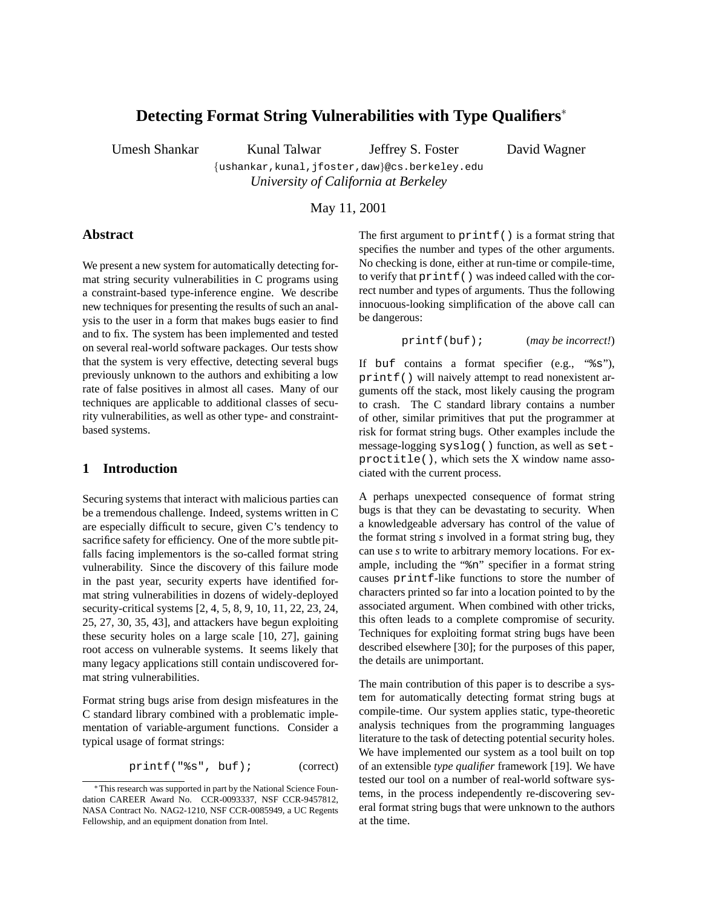# **Detecting Format String Vulnerabilities with Type Qualifiers**

Umesh Shankar Kunal Talwar Jeffrey S. Foster David Wagner

{ushankar,kunal,jfoster,daw}@cs.berkeley.edu *University of California at Berkeley*

May 11, 2001

### **Abstract**

We present a new system for automatically detecting format string security vulnerabilities in C programs using a constraint-based type-inference engine. We describe new techniques for presenting the results of such an analysis to the user in a form that makes bugs easier to find and to fix. The system has been implemented and tested on several real-world software packages. Our tests show that the system is very effective, detecting several bugs previously unknown to the authors and exhibiting a low rate of false positives in almost all cases. Many of our techniques are applicable to additional classes of security vulnerabilities, as well as other type- and constraintbased systems.

### **1 Introduction**

Securing systems that interact with malicious parties can be a tremendous challenge. Indeed, systems written in C are especially difficult to secure, given C's tendency to sacrifice safety for efficiency. One of the more subtle pitfalls facing implementors is the so-called format string vulnerability. Since the discovery of this failure mode in the past year, security experts have identified format string vulnerabilities in dozens of widely-deployed security-critical systems [2, 4, 5, 8, 9, 10, 11, 22, 23, 24, 25, 27, 30, 35, 43], and attackers have begun exploiting these security holes on a large scale [10, 27], gaining root access on vulnerable systems. It seems likely that many legacy applications still contain undiscovered format string vulnerabilities.

Format string bugs arise from design misfeatures in the C standard library combined with a problematic implementation of variable-argument functions. Consider a typical usage of format strings:

printf("%s", buf); (correct)

The first argument to  $print(f)$  is a format string that specifies the number and types of the other arguments. No checking is done, either at run-time or compile-time, to verify that printf() was indeed called with the correct number and types of arguments. Thus the following innocuous-looking simplification of the above call can be dangerous:

printf(buf); (*may be incorrect!*)

If buf contains a format specifier (e.g., "%s"), printf() will naively attempt to read nonexistent arguments off the stack, most likely causing the program to crash. The C standard library contains a number of other, similar primitives that put the programmer at risk for format string bugs. Other examples include the message-logging syslog() function, as well as setproctitle(), which sets the X window name associated with the current process.

A perhaps unexpected consequence of format string bugs is that they can be devastating to security. When a knowledgeable adversary has control of the value of the format string *s* involved in a format string bug, they can use *s* to write to arbitrary memory locations. For example, including the "%n" specifier in a format string causes printf-like functions to store the number of characters printed so far into a location pointed to by the associated argument. When combined with other tricks, this often leads to a complete compromise of security. Techniques for exploiting format string bugs have been described elsewhere [30]; for the purposes of this paper, the details are unimportant.

The main contribution of this paper is to describe a system for automatically detecting format string bugs at compile-time. Our system applies static, type-theoretic analysis techniques from the programming languages literature to the task of detecting potential security holes. We have implemented our system as a tool built on top of an extensible *type qualifier* framework [19]. We have tested our tool on a number of real-world software systems, in the process independently re-discovering several format string bugs that were unknown to the authors at the time.

This research was supported in part by the National Science Foundation CAREER Award No. CCR-0093337, NSF CCR-9457812, NASA Contract No. NAG2-1210, NSF CCR-0085949, a UC Regents Fellowship, and an equipment donation from Intel.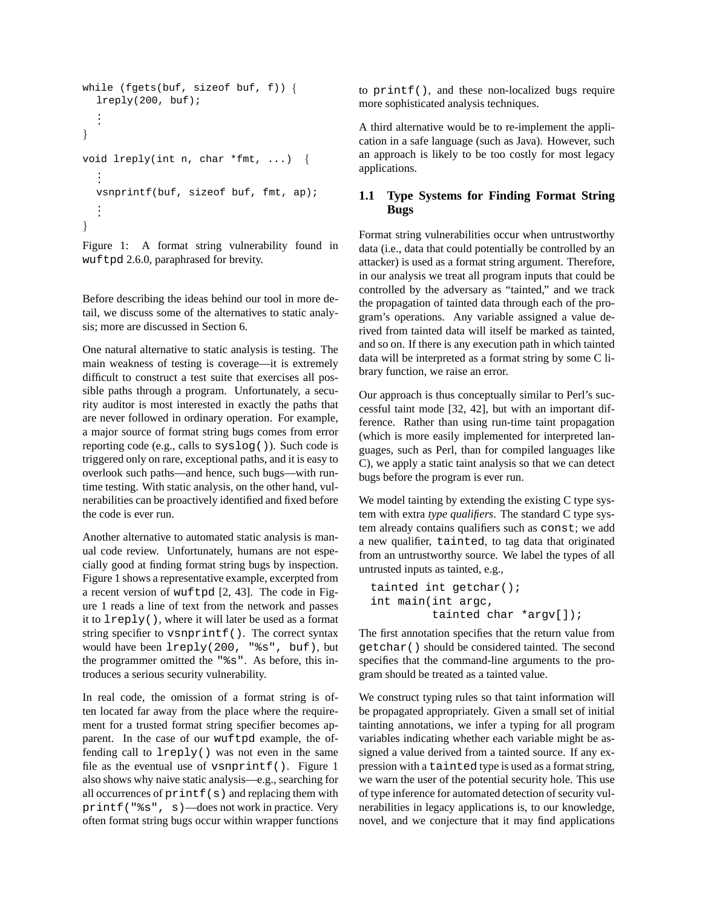```
while (fgets(buf, sizeof buf, f)) {
  lreply(200, buf);
   ... \mathcal{F}void lreply(int n, char *fmt, ...) {
   ...
  vsnprintf(buf, sizeof buf, fmt, ap);
   ... \mathcal{E}
```
Figure 1: A format string vulnerability found in wuftpd 2.6.0, paraphrased for brevity.

Before describing the ideas behind our tool in more detail, we discuss some of the alternatives to static analysis; more are discussed in Section 6.

One natural alternative to static analysis is testing. The main weakness of testing is coverage—it is extremely difficult to construct a test suite that exercises all possible paths through a program. Unfortunately, a security auditor is most interested in exactly the paths that are never followed in ordinary operation. For example, a major source of format string bugs comes from error reporting code (e.g., calls to syslog()). Such code is triggered only on rare, exceptional paths, and it is easy to overlook such paths—and hence, such bugs—with runtime testing. With static analysis, on the other hand, vulnerabilities can be proactively identified and fixed before the code is ever run.

Another alternative to automated static analysis is manual code review. Unfortunately, humans are not especially good at finding format string bugs by inspection. Figure 1 shows a representative example, excerpted from a recent version of wuftpd [2, 43]. The code in Figure 1 reads a line of text from the network and passes it to lreply(), where it will later be used as a format string specifier to vsnprintf(). The correct syntax would have been lreply(200, "%s", buf), but the programmer omitted the "%s". As before, this introduces a serious security vulnerability.

In real code, the omission of a format string is often located far away from the place where the requirement for a trusted format string specifier becomes apparent. In the case of our wuftpd example, the offending call to lreply() was not even in the same file as the eventual use of vsnprintf(). Figure 1 also shows why naive static analysis—e.g., searching for all occurrences of printf(s) and replacing them with printf("%s", s)—does not work in practice. Very often format string bugs occur within wrapper functions to printf(), and these non-localized bugs require more sophisticated analysis techniques.

A third alternative would be to re-implement the application in a safe language (such as Java). However, such an approach is likely to be too costly for most legacy applications.

### **1.1 Type Systems for Finding Format String Bugs**

Format string vulnerabilities occur when untrustworthy data (i.e., data that could potentially be controlled by an attacker) is used as a format string argument. Therefore, in our analysis we treat all program inputs that could be controlled by the adversary as "tainted," and we track the propagation of tainted data through each of the program's operations. Any variable assigned a value derived from tainted data will itself be marked as tainted, and so on. If there is any execution path in which tainted data will be interpreted as a format string by some C library function, we raise an error.

Our approach is thus conceptually similar to Perl's successful taint mode [32, 42], but with an important difference. Rather than using run-time taint propagation (which is more easily implemented for interpreted languages, such as Perl, than for compiled languages like C), we apply a static taint analysis so that we can detect bugs before the program is ever run.

We model tainting by extending the existing C type system with extra *type qualifiers*. The standard C type system already contains qualifiers such as const; we add a new qualifier, tainted, to tag data that originated from an untrustworthy source. We label the types of all untrusted inputs as tainted, e.g.,

```
tainted int getchar();
int main(int argc,
         tainted char *argv[]);
```
The first annotation specifies that the return value from getchar() should be considered tainted. The second specifies that the command-line arguments to the program should be treated as a tainted value.

We construct typing rules so that taint information will be propagated appropriately. Given a small set of initial tainting annotations, we infer a typing for all program variables indicating whether each variable might be assigned a value derived from a tainted source. If any expression with a tainted type is used as a format string, we warn the user of the potential security hole. This use of type inference for automated detection of security vulnerabilities in legacy applications is, to our knowledge, novel, and we conjecture that it may find applications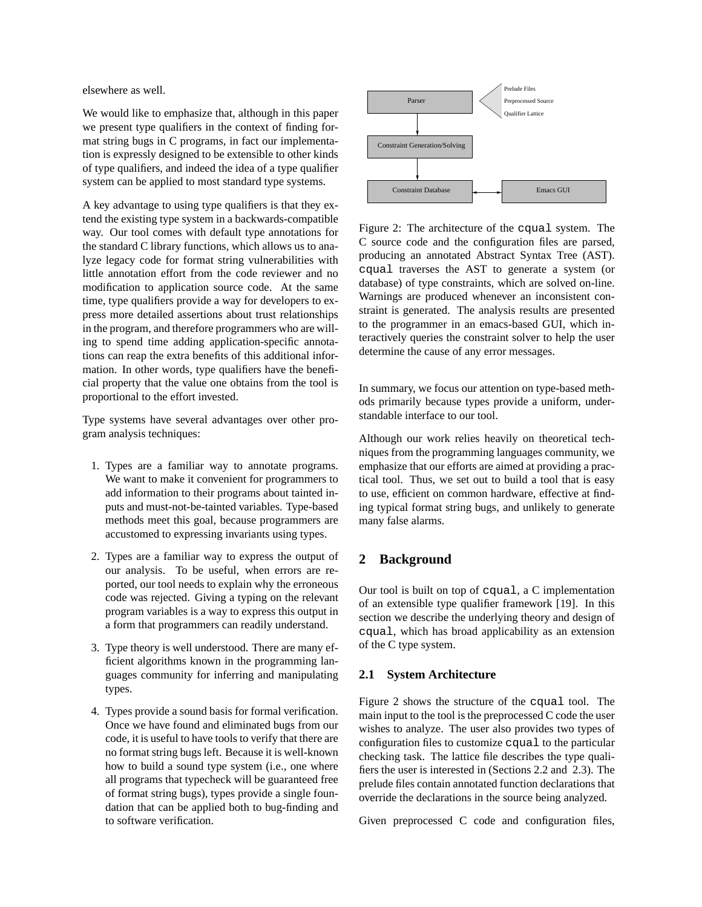elsewhere as well.

We would like to emphasize that, although in this paper we present type qualifiers in the context of finding format string bugs in C programs, in fact our implementation is expressly designed to be extensible to other kinds of type qualifiers, and indeed the idea of a type qualifier system can be applied to most standard type systems.

A key advantage to using type qualifiers is that they extend the existing type system in a backwards-compatible way. Our tool comes with default type annotations for the standard C library functions, which allows us to analyze legacy code for format string vulnerabilities with little annotation effort from the code reviewer and no modification to application source code. At the same time, type qualifiers provide a way for developers to express more detailed assertions about trust relationships in the program, and therefore programmers who are willing to spend time adding application-specific annotations can reap the extra benefits of this additional information. In other words, type qualifiers have the beneficial property that the value one obtains from the tool is proportional to the effort invested.

Type systems have several advantages over other program analysis techniques:

- 1. Types are a familiar way to annotate programs. We want to make it convenient for programmers to add information to their programs about tainted inputs and must-not-be-tainted variables. Type-based methods meet this goal, because programmers are accustomed to expressing invariants using types.
- 2. Types are a familiar way to express the output of our analysis. To be useful, when errors are reported, our tool needs to explain why the erroneous code was rejected. Giving a typing on the relevant program variables is a way to express this output in a form that programmers can readily understand.
- 3. Type theory is well understood. There are many efficient algorithms known in the programming languages community for inferring and manipulating types.
- 4. Types provide a sound basis for formal verification. Once we have found and eliminated bugs from our code, it is useful to have tools to verify that there are no format string bugs left. Because it is well-known how to build a sound type system (i.e., one where all programs that typecheck will be guaranteed free of format string bugs), types provide a single foundation that can be applied both to bug-finding and to software verification.



Figure 2: The architecture of the cqual system. The C source code and the configuration files are parsed, producing an annotated Abstract Syntax Tree (AST). cqual traverses the AST to generate a system (or database) of type constraints, which are solved on-line. Warnings are produced whenever an inconsistent constraint is generated. The analysis results are presented to the programmer in an emacs-based GUI, which interactively queries the constraint solver to help the user determine the cause of any error messages.

In summary, we focus our attention on type-based methods primarily because types provide a uniform, understandable interface to our tool.

Although our work relies heavily on theoretical techniques from the programming languages community, we emphasize that our efforts are aimed at providing a practical tool. Thus, we set out to build a tool that is easy to use, efficient on common hardware, effective at finding typical format string bugs, and unlikely to generate many false alarms.

# **2 Background**

Our tool is built on top of cqual, a C implementation of an extensible type qualifier framework [19]. In this section we describe the underlying theory and design of cqual, which has broad applicability as an extension of the C type system.

### **2.1 System Architecture**

Figure 2 shows the structure of the cqual tool. The main input to the tool is the preprocessed C code the user wishes to analyze. The user also provides two types of configuration files to customize cqual to the particular checking task. The lattice file describes the type qualifiers the user is interested in (Sections 2.2 and 2.3). The prelude files contain annotated function declarations that override the declarations in the source being analyzed.

Given preprocessed C code and configuration files,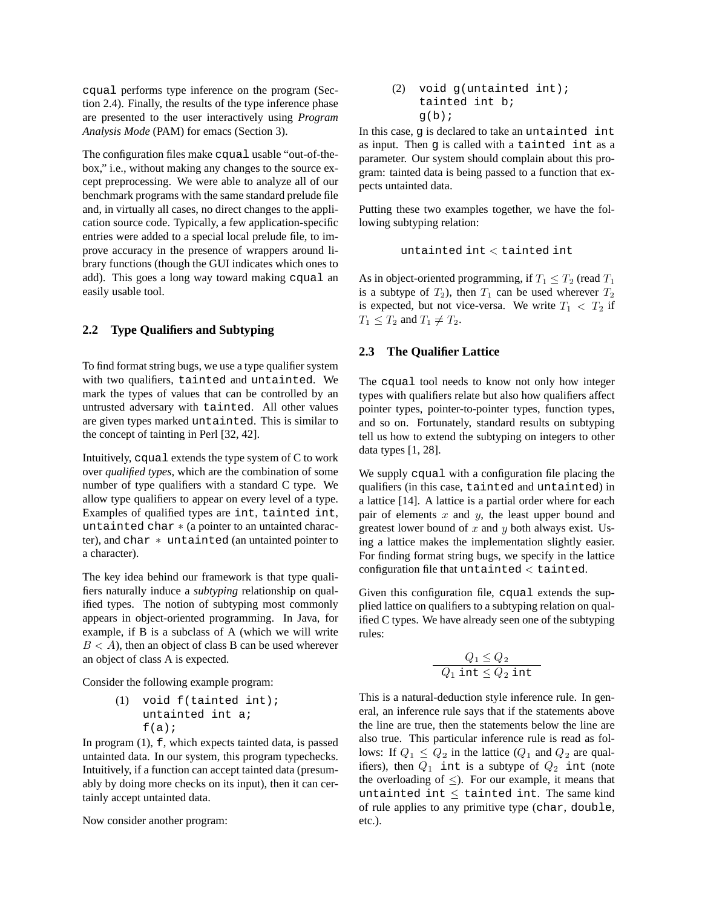cqual performs type inference on the program (Section 2.4). Finally, the results of the type inference phase are presented to the user interactively using *Program Analysis Mode* (PAM) for emacs (Section 3).

The configuration files make cqual usable "out-of-thebox," i.e., without making any changes to the source except preprocessing. We were able to analyze all of our benchmark programs with the same standard prelude file and, in virtually all cases, no direct changes to the application source code. Typically, a few application-specific entries were added to a special local prelude file, to improve accuracy in the presence of wrappers around library functions (though the GUI indicates which ones to add). This goes a long way toward making cqual an easily usable tool.

#### **2.2 Type Qualifiers and Subtyping**

To find format string bugs, we use a type qualifier system with two qualifiers, tainted and untainted. We mark the types of values that can be controlled by an untrusted adversary with tainted. All other values are given types marked untainted. This is similar to the concept of tainting in Perl [32, 42].

Intuitively, cqual extends the type system of C to work over *qualified types*, which are the combination of some number of type qualifiers with a standard C type. We allow type qualifiers to appear on every level of a type. Examples of qualified types are int, tainted int, untainted char (a pointer to an untainted character), and char untainted (an untainted pointer to a character).

The key idea behind our framework is that type qualifiers naturally induce a *subtyping* relationship on qualified types. The notion of subtyping most commonly appears in object-oriented programming. In Java, for example, if B is a subclass of A (which we will write  $B < A$ ), then an object of class B can be used wherever an object of class A is expected.

Consider the following example program:

(1) void f(tainted int); untainted int a;  $f(a)$ ;

In program (1), f, which expects tainted data, is passed untainted data. In our system, this program typechecks. Intuitively, if a function can accept tainted data (presumably by doing more checks on its input), then it can certainly accept untainted data.

Now consider another program:

(2) void g(untainted int);  
\ntainted int b;  
\n
$$
g(b);
$$

In this case, g is declared to take an untainted int as input. Then g is called with a tainted int as a parameter. Our system should complain about this program: tainted data is being passed to a function that expects untainted data.

Putting these two examples together, we have the following subtyping relation:

$$
\mathtt{untainted}\ \mathtt{int} < \mathtt{tainted}\ \mathtt{int}
$$

As in object-oriented programming, if  $T_1 \leq T_2$  (read T is a subtype of  $T_2$ ), then  $T_1$  can be used wherever  $T_2$ is expected, but not vice-versa. We write  $T_1 < T_2$  if  $T_1 \leq T_2$  and  $T_1 \neq T_2$ .

#### **2.3 The Qualifier Lattice**

The cqual tool needs to know not only how integer types with qualifiers relate but also how qualifiers affect pointer types, pointer-to-pointer types, function types, and so on. Fortunately, standard results on subtyping tell us how to extend the subtyping on integers to other data types [1, 28].

We supply cqual with a configuration file placing the qualifiers (in this case, tainted and untainted) in a lattice [14]. A lattice is a partial order where for each pair of elements  $x$  and  $y$ , the least upper bound and greatest lower bound of  $x$  and  $y$  both always exist. Using a lattice makes the implementation slightly easier. For finding format string bugs, we specify in the lattice  $\rm{configuration}$  file that untainted  $<$  tainted.

Given this configuration file, cqual extends the supplied lattice on qualifiers to a subtyping relation on qualified C types. We have already seen one of the subtyping rules:

$$
\frac{Q_1 \leq Q_2}{Q_1 \texttt{ int} \leq Q_2 \texttt{ int}}
$$

This is a natural-deduction style inference rule. In general, an inference rule says that if the statements above the line are true, then the statements below the line are also true. This particular inference rule is read as follows: If  $Q_1 \leq Q_2$  in the lattice  $(Q_1$  and  $Q_2$  are qualifiers), then  $Q_1$  int is a subtype of  $Q_2$  int (note the overloading of  $\leq$ ). For our example, it means that untainted int  $\leq$  tainted int. The same kind of rule applies to any primitive type (char, double, etc.).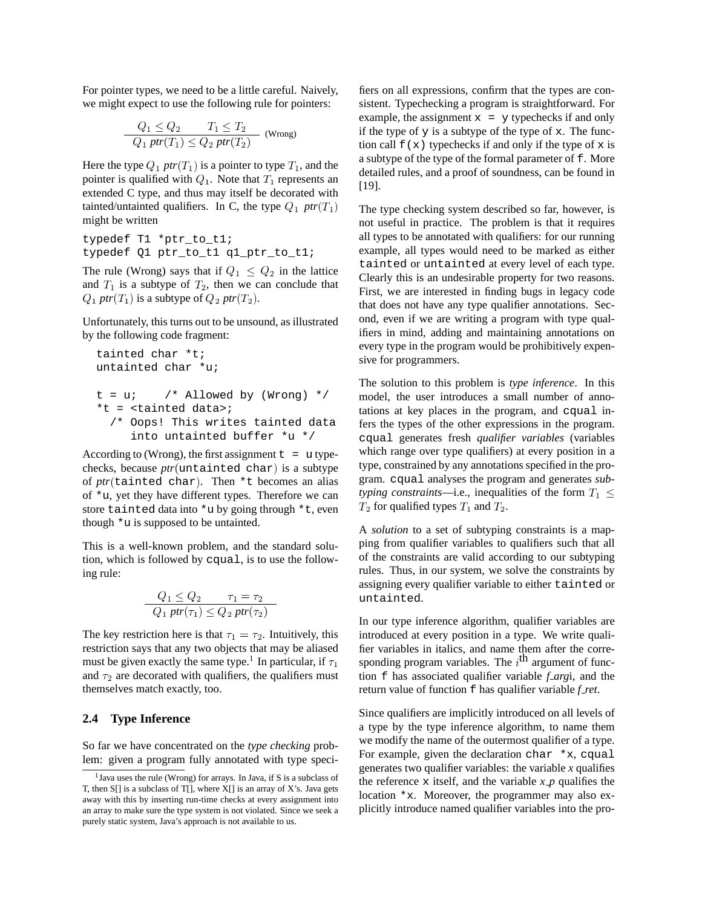For pointer types, we need to be a little careful. Naively, we might expect to use the following rule for pointers:

$$
\frac{Q_1 \le Q_2 \qquad T_1 \le T_2}{Q_1 \text{ ptr}(T_1) \le Q_2 \text{ ptr}(T_2)} \text{ (Wrong)}
$$

Here the type  $Q_1$   $ptr(T_1)$  is a pointer to type  $T_1$ , and the pointer is qualified with  $Q_1$ . Note that  $T_1$  represents an extended C type, and thus may itself be decorated with tainted/untainted qualifiers. In C, the type  $Q_1$  ptr $(T_1)$  T might be written

```
typedef T1 *ptr to t1;
typedef Q1 ptr_to_t1 q1_ptr_to_t1;
```
The rule (Wrong) says that if  $Q_1 \leq Q_2$  in the lattice and  $T_1$  is a subtype of  $T_2$ , then we can conclude that  $Q_1$  *ptr* $(T_1)$  is a subtype of  $Q_2$  *ptr* $(T_2)$ .

Unfortunately, this turns out to be unsound, as illustrated by the following code fragment:

```
tainted char *t;
untainted char *u;
t = u; /* Allowed by (Wrong) */
*t = <tainted data>;
  /* Oops! This writes tainted data
     into untainted buffer *u */
```
According to (Wrong), the first assignment  $t = u$  typechecks, because *ptr* (untainted char) is a subtype of *ptr* (tainted char). Then \*t becomes an alias of \*u, yet they have different types. Therefore we can store tainted data into \*u by going through \*t, even though \*u is supposed to be untainted.

This is a well-known problem, and the standard solution, which is followed by cqual, is to use the following rule:

$$
\frac{Q_1 \le Q_2 \qquad \tau_1 = \tau_2}{Q_1 \text{ ptr}(\tau_1) \le Q_2 \text{ ptr}(\tau_2)}
$$

The key restriction here is that  $\tau_1 = \tau_2$ . Intuitively, this restriction says that any two objects that may be aliased must be given exactly the same type.<sup>1</sup> In particular, if  $\tau$ and  $\tau_2$  are decorated with qualifiers, the qualifiers must themselves match exactly, too.

#### **2.4 Type Inference**

So far we have concentrated on the *type checking* problem: given a program fully annotated with type specifiers on all expressions, confirm that the types are consistent. Typechecking a program is straightforward. For example, the assignment  $x = y$  typechecks if and only if the type of  $y$  is a subtype of the type of  $x$ . The function call  $f(x)$  typechecks if and only if the type of x is a subtype of the type of the formal parameter of f. More detailed rules, and a proof of soundness, can be found in [19].

The type checking system described so far, however, is not useful in practice. The problem is that it requires all types to be annotated with qualifiers: for our running example, all types would need to be marked as either tainted or untainted at every level of each type. Clearly this is an undesirable property for two reasons. First, we are interested in finding bugs in legacy code that does not have any type qualifier annotations. Second, even if we are writing a program with type qualifiers in mind, adding and maintaining annotations on every type in the program would be prohibitively expensive for programmers.

The solution to this problem is *type inference*. In this model, the user introduces a small number of annotations at key places in the program, and cqual infers the types of the other expressions in the program. cqual generates fresh *qualifier variables* (variables which range over type qualifiers) at every position in a type, constrained by any annotations specified in the program. cqual analyses the program and generates *subtyping constraints*—i.e., inequalities of the form  $T_1 \leq$  $T_2$  for qualified types  $T_1$  and  $T_2$ .

A *solution* to a set of subtyping constraints is a mapping from qualifier variables to qualifiers such that all of the constraints are valid according to our subtyping rules. Thus, in our system, we solve the constraints by assigning every qualifier variable to either tainted or untainted.

sponding program variables. The  $i^{\text{th}}$  argument of func-In our type inference algorithm, qualifier variables are introduced at every position in a type. We write qualifier variables in italics, and name them after the corretion f has associated qualifier variable *f arg*i, and the return value of function f has qualifier variable *f ret*.

Since qualifiers are implicitly introduced on all levels of a type by the type inference algorithm, to name them we modify the name of the outermost qualifier of a type. For example, given the declaration char  $*x$ , cqual generates two qualifier variables: the variable  $x$  qualifies the reference x itself, and the variable  $x$  *p* qualifies the location  $x$ . Moreover, the programmer may also explicitly introduce named qualifier variables into the pro-

<sup>1</sup> Java uses the rule (Wrong) for arrays. In Java, if S is a subclass of T, then S[] is a subclass of T[], where X[] is an array of X's. Java gets away with this by inserting run-time checks at every assignment into an array to make sure the type system is not violated. Since we seek a purely static system, Java's approach is not available to us.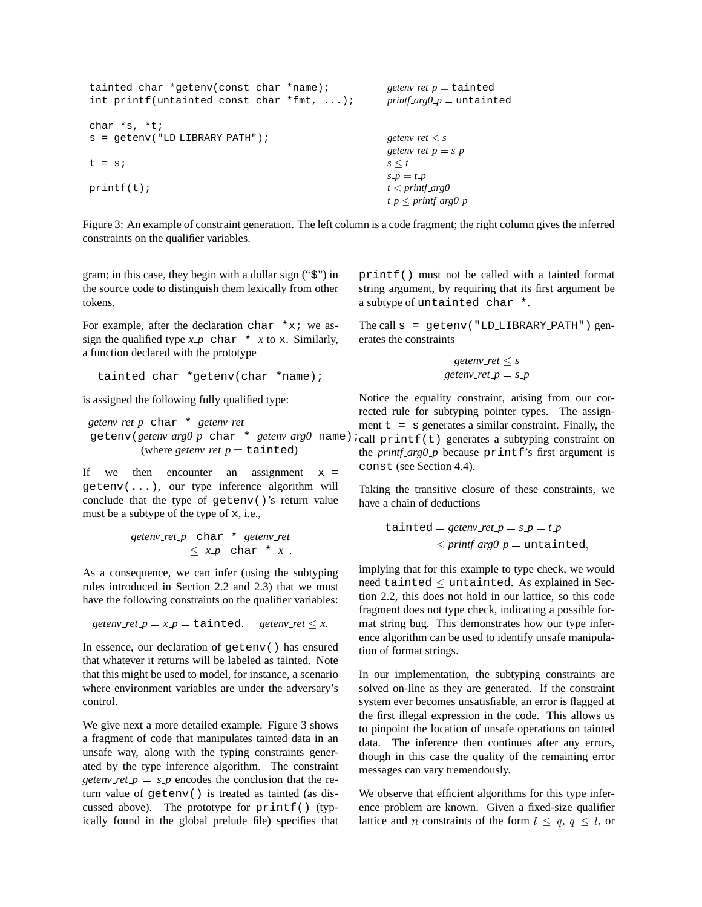```
tainted char *getenv(const char *name); getenv\_ret_p = \text{tainted}int printf(untainted const char *fmt, ...); \frac{p\text{r}}{2} printf_arg0_p = untainted
char *s, *t;
s = getenv("LD_LIBRARY_PATH"); getenv_ret \leq sgetenv \text{ref } p = st = s; s \leq ts p = t pprintf(t); t \leq print_{arg}0t p \le printf arg0 p
```
Figure 3: An example of constraint generation. The left column is a code fragment; the right column gives the inferred constraints on the qualifier variables.

gram; in this case, they begin with a dollar sign ("\$") in the source code to distinguish them lexically from other tokens.

For example, after the declaration char  $*x$ ; we assign the qualified type  $x$ -p char \*  $x$  to x. Similarly, a function declared with the prototype

```
tainted char *getenv(char *name);
```
is assigned the following fully qualified type:

*getenv ret p* char \* *getenv ret* getenv(*getenv arg0 p* char \* *getenv arg0* name); (where *getenv\_ret*  $p =$  tainted)

If we then encounter an assignment  $x =$ getenv(...), our type inference algorithm will conclude that the type of getenv()'s return value must be a subtype of the type of x, i.e.,

$$
getenv\_ret\_p \text{ char} * getenv\_ret
$$
  

$$
\leq x\_p \text{ char} * x.
$$

As a consequence, we can infer (using the subtyping rules introduced in Section 2.2 and 2.3) that we must have the following constraints on the qualifier variables:

```
getenv_ret p = x \cdot p = \text{tainted}, getenv_ret \leq x. mat s
```
In essence, our declaration of getenv() has ensured that whatever it returns will be labeled as tainted. Note that this might be used to model, for instance, a scenario where environment variables are under the adversary's control.

We give next a more detailed example. Figure 3 shows a fragment of code that manipulates tainted data in an unsafe way, along with the typing constraints generated by the type inference algorithm. The constraint *getenv*  $\text{ret } p = s \cdot p$  encodes the conclusion that the return value of getenv() is treated as tainted (as discussed above). The prototype for  $print()$  (typically found in the global prelude file) specifies that printf() must not be called with a tainted format string argument, by requiring that its first argument be a subtype of untainted char \*.

The call  $s = getenv('LD_LIBRARY_PATH") gen$ erates the constraints

$$
getenv\_ret \leq s
$$
  
getenv\\_ret.p = s.p

Notice the equality constraint, arising from our corrected rule for subtyping pointer types. The assignment  $t = s$  generates a similar constraint. Finally, the  $i$ call printf(t) generates a subtyping constraint on the *printf arg0 p* because printf's first argument is const (see Section 4.4).

Taking the transitive closure of these constraints, we have a chain of deductions

$$
\begin{aligned} \text{tainted} &= \text{getenv\_ret} \, p = s \, p = t \, p \\ &\le \text{print\_arg0} \, p = \text{untainted}, \end{aligned}
$$

implying that for this example to type check, we would need tainted  $\leq$  untainted. As explained in Section 2.2, this does not hold in our lattice, so this code fragment does not type check, indicating a possible format string bug. This demonstrates how our type inference algorithm can be used to identify unsafe manipulation of format strings.

In our implementation, the subtyping constraints are solved on-line as they are generated. If the constraint system ever becomes unsatisfiable, an error is flagged at the first illegal expression in the code. This allows us to pinpoint the location of unsafe operations on tainted data. The inference then continues after any errors, though in this case the quality of the remaining error messages can vary tremendously.

We observe that efficient algorithms for this type inference problem are known. Given a fixed-size qualifier lattice and *n* constraints of the form  $l \le q, q \le l$ , or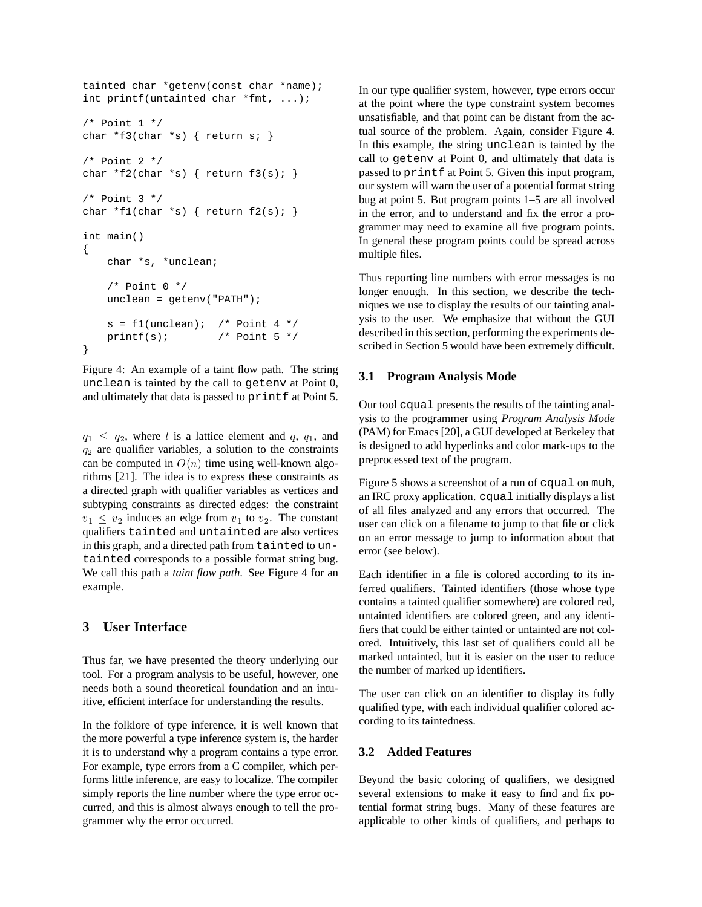```
tainted char *getenv(const char *name);
int printf(untainted char *fmt, ...);
/* Point 1 */
char *f3(char *s) { return s; }
/* Point 2 */char *f2(char *s) { return f3(s); }
/* Point 3 */
char *f1(char *s) { return f2(s); }
int main()
{
   char *s, *unclean;
    /* Point 0 */
   unclean = getenv("PATH");
    s = f1(unclean); /* Point 4 */
   printf(s); /* Point 5 */}
```
Figure 4: An example of a taint flow path. The string unclean is tainted by the call to getenv at Point 0, and ultimately that data is passed to printf at Point 5.

 $q_1 \leq q_2$ , where l is a lattice element and q,  $q_1$ , and  $q_2$  are qualifier variables, a solution to the constraints can be computed in  $O(n)$  time using well-known algorithms [21]. The idea is to express these constraints as a directed graph with qualifier variables as vertices and subtyping constraints as directed edges: the constraint  $v_1 \leq v_2$  induces an edge from  $v_1$  to  $v_2$ . The constant qualifiers tainted and untainted are also vertices in this graph, and a directed path from tainted to untainted corresponds to a possible format string bug. We call this path a *taint flow path*. See Figure 4 for an example.

# **3 User Interface**

Thus far, we have presented the theory underlying our tool. For a program analysis to be useful, however, one needs both a sound theoretical foundation and an intuitive, efficient interface for understanding the results.

In the folklore of type inference, it is well known that the more powerful a type inference system is, the harder it is to understand why a program contains a type error. For example, type errors from a C compiler, which performs little inference, are easy to localize. The compiler simply reports the line number where the type error occurred, and this is almost always enough to tell the programmer why the error occurred.

In our type qualifier system, however, type errors occur at the point where the type constraint system becomes unsatisfiable, and that point can be distant from the actual source of the problem. Again, consider Figure 4. In this example, the string unclean is tainted by the call to getenv at Point 0, and ultimately that data is passed to printf at Point 5. Given this input program, our system will warn the user of a potential format string bug at point 5. But program points 1–5 are all involved in the error, and to understand and fix the error a programmer may need to examine all five program points. In general these program points could be spread across multiple files.

Thus reporting line numbers with error messages is no longer enough. In this section, we describe the techniques we use to display the results of our tainting analysis to the user. We emphasize that without the GUI described in this section, performing the experiments described in Section 5 would have been extremely difficult.

#### **3.1 Program Analysis Mode**

Our tool cqual presents the results of the tainting analysis to the programmer using *Program Analysis Mode* (PAM) for Emacs [20], a GUI developed at Berkeley that is designed to add hyperlinks and color mark-ups to the preprocessed text of the program.

Figure 5 shows a screenshot of a run of cqual on muh, an IRC proxy application. cqual initially displays a list of all files analyzed and any errors that occurred. The user can click on a filename to jump to that file or click on an error message to jump to information about that error (see below).

Each identifier in a file is colored according to its inferred qualifiers. Tainted identifiers (those whose type contains a tainted qualifier somewhere) are colored red, untainted identifiers are colored green, and any identifiers that could be either tainted or untainted are not colored. Intuitively, this last set of qualifiers could all be marked untainted, but it is easier on the user to reduce the number of marked up identifiers.

The user can click on an identifier to display its fully qualified type, with each individual qualifier colored according to its taintedness.

### **3.2 Added Features**

Beyond the basic coloring of qualifiers, we designed several extensions to make it easy to find and fix potential format string bugs. Many of these features are applicable to other kinds of qualifiers, and perhaps to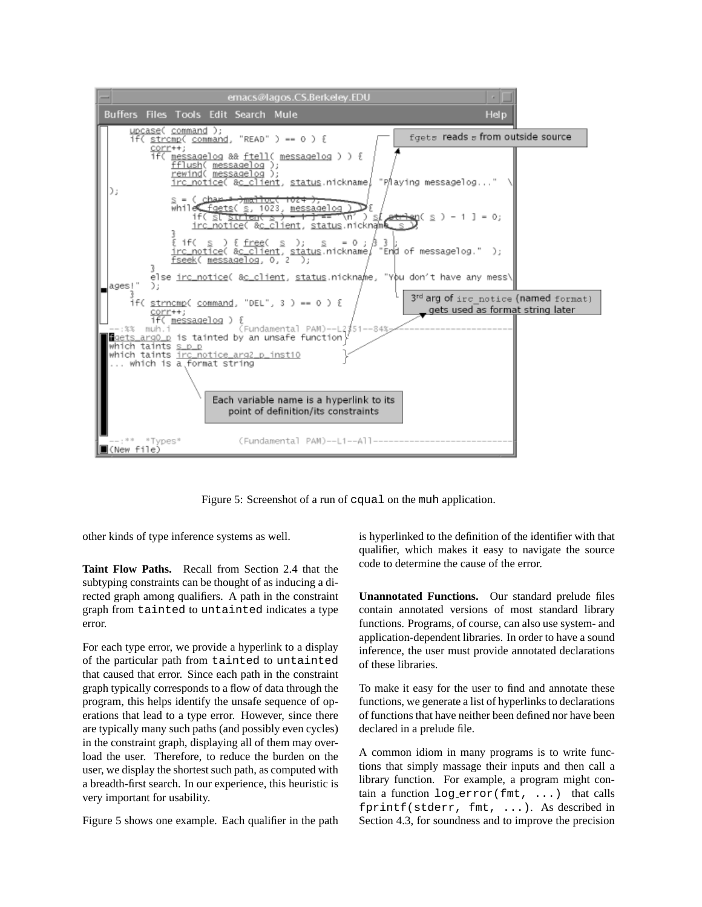

Figure 5: Screenshot of a run of cqual on the muh application.

other kinds of type inference systems as well.

**Taint Flow Paths.** Recall from Section 2.4 that the subtyping constraints can be thought of as inducing a directed graph among qualifiers. A path in the constraint graph from tainted to untainted indicates a type error.

For each type error, we provide a hyperlink to a display of the particular path from tainted to untainted that caused that error. Since each path in the constraint graph typically corresponds to a flow of data through the program, this helps identify the unsafe sequence of operations that lead to a type error. However, since there are typically many such paths (and possibly even cycles) in the constraint graph, displaying all of them may overload the user. Therefore, to reduce the burden on the user, we display the shortest such path, as computed with a breadth-first search. In our experience, this heuristic is very important for usability.

Figure 5 shows one example. Each qualifier in the path

is hyperlinked to the definition of the identifier with that qualifier, which makes it easy to navigate the source code to determine the cause of the error.

**Unannotated Functions.** Our standard prelude files contain annotated versions of most standard library functions. Programs, of course, can also use system- and application-dependent libraries. In order to have a sound inference, the user must provide annotated declarations of these libraries.

To make it easy for the user to find and annotate these functions, we generate a list of hyperlinks to declarations of functions that have neither been defined nor have been declared in a prelude file.

A common idiom in many programs is to write functions that simply massage their inputs and then call a library function. For example, a program might contain a function log error(fmt, ...) that calls fprintf(stderr, fmt, ...). As described in Section 4.3, for soundness and to improve the precision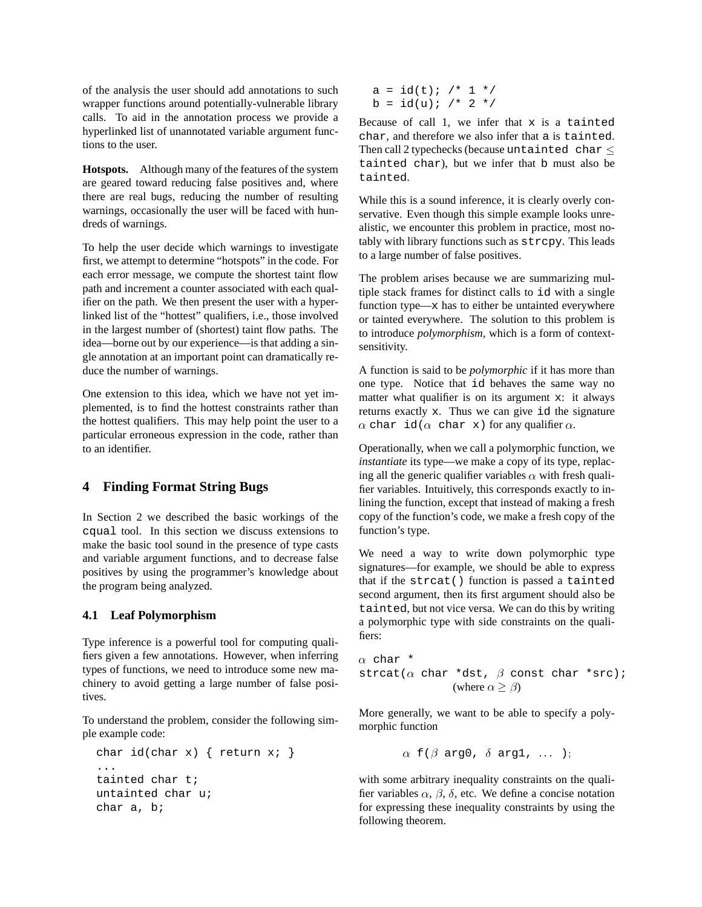of the analysis the user should add annotations to such wrapper functions around potentially-vulnerable library calls. To aid in the annotation process we provide a hyperlinked list of unannotated variable argument functions to the user.

**Hotspots.** Although many of the features of the system are geared toward reducing false positives and, where there are real bugs, reducing the number of resulting warnings, occasionally the user will be faced with hundreds of warnings.

To help the user decide which warnings to investigate first, we attempt to determine "hotspots" in the code. For each error message, we compute the shortest taint flow path and increment a counter associated with each qualifier on the path. We then present the user with a hyperlinked list of the "hottest" qualifiers, i.e., those involved in the largest number of (shortest) taint flow paths. The idea—borne out by our experience—is that adding a single annotation at an important point can dramatically reduce the number of warnings.

One extension to this idea, which we have not yet implemented, is to find the hottest constraints rather than the hottest qualifiers. This may help point the user to a particular erroneous expression in the code, rather than to an identifier.

### **4 Finding Format String Bugs**

In Section 2 we described the basic workings of the cqual tool. In this section we discuss extensions to make the basic tool sound in the presence of type casts and variable argument functions, and to decrease false positives by using the programmer's knowledge about the program being analyzed.

#### **4.1 Leaf Polymorphism**

Type inference is a powerful tool for computing qualifiers given a few annotations. However, when inferring types of functions, we need to introduce some new machinery to avoid getting a large number of false positives.

To understand the problem, consider the following simple example code:

```
char id(char x) { return x; }
tainted char t;
untainted char u;
char a, b;
```
 $a = id(t);$  /\* 1 \*/  $b = id(u);$  /\* 2 \*/

Because of call 1, we infer that x is a tainted char, and therefore we also infer that a is tainted. Then call 2 typechecks (because untainted char  $\leq$ tainted char), but we infer that b must also be tainted.

While this is a sound inference, it is clearly overly conservative. Even though this simple example looks unrealistic, we encounter this problem in practice, most notably with library functions such as strcpy. This leads to a large number of false positives.

The problem arises because we are summarizing multiple stack frames for distinct calls to id with a single function type— $x$  has to either be untainted everywhere or tainted everywhere. The solution to this problem is to introduce *polymorphism*, which is a form of contextsensitivity.

A function is said to be *polymorphic* if it has more than one type. Notice that id behaves the same way no matter what qualifier is on its argument x: it always returns exactly x. Thus we can give id the signature  $\alpha$  char id( $\alpha$  char x) for any qualifier  $\alpha.$ 

Operationally, when we call a polymorphic function, we *instantiate* its type—we make a copy of its type, replacing all the generic qualifier variables  $\alpha$  with fresh qualifier variables. Intuitively, this corresponds exactly to inlining the function, except that instead of making a fresh copy of the function's code, we make a fresh copy of the function's type.

We need a way to write down polymorphic type signatures—for example, we should be able to express that if the strcat() function is passed a tainted second argument, then its first argument should also be tainted, but not vice versa. We can do this by writing a polymorphic type with side constraints on the qualifiers:

 $\alpha$  char \*  $\texttt{strcat}(\alpha \text{ char *dst}, \beta \text{ const char *src});$ (where  $\alpha \geq \beta$ )

More generally, we want to be able to specify a polymorphic function

$$
\alpha
$$
 f( $\beta$  arg0,  $\delta$  arg1, ... );

with some arbitrary inequality constraints on the qualifier variables  $\alpha$ ,  $\beta$ ,  $\delta$ , etc. We define a concise notation for expressing these inequality constraints by using the following theorem.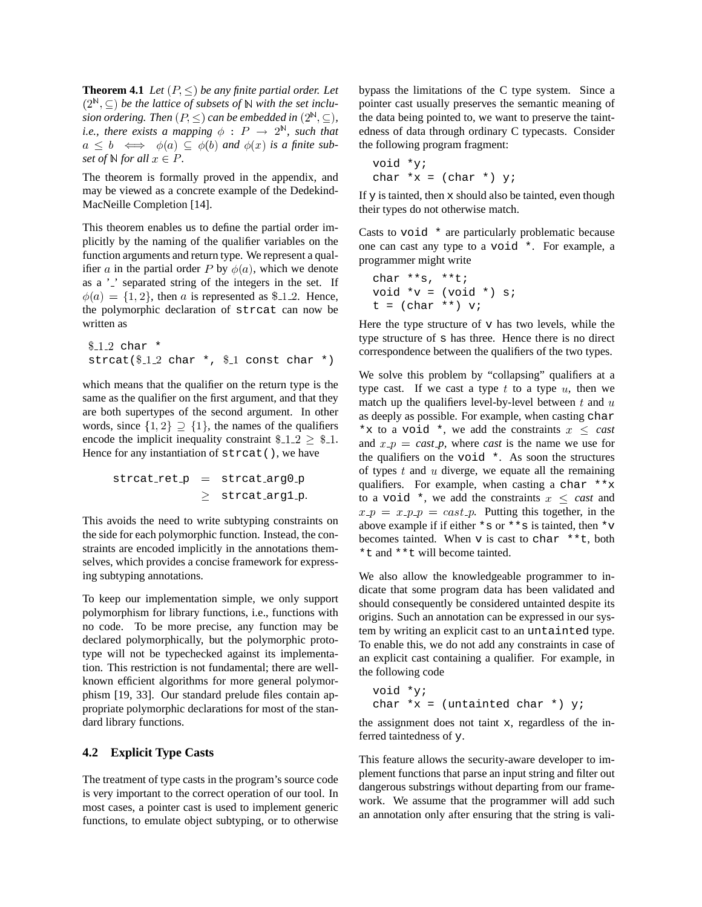**Theorem 4.1** *Let*  $(P, \leq)$  *be any finite partial order. Let*  $(2^{\mathbb{N}}, \subseteq)$  *be the lattice of subsets of* N *with the set inclusion ordering.* Then  $(P, \leq)$  *can be embedded in*  $(2^{\mathbb{N}}, \subseteq)$ , *i.e., there exists a mapping*  $\phi$  :  $P \rightarrow 2^{\mathbb{N}}$ *, such that*  $a \leq b \iff \phi(a) \subseteq \phi(b)$  and  $\phi(x)$  is a finite sub*set of*  $\mathbb{N}$  *for all*  $x \in P$ *.* 

The theorem is formally proved in the appendix, and may be viewed as a concrete example of the Dedekind-MacNeille Completion [14].

This theorem enables us to define the partial order implicitly by the naming of the qualifier variables on the function arguments and return type. We represent a qualifier a in the partial order P by  $\phi(a)$ , which we denote as a ' ' separated string of the integers in the set. If  $\phi(a) = \{1, 2\}$ , then a is represented as \$112. Hence, the polymorphic declaration of strcat can now be written as

```
$12 char *\text{strcat}(\$12 \text{ char } * , \$1 \text{ const char } * )
```
which means that the qualifier on the return type is the same as the qualifier on the first argument, and that they are both supertypes of the second argument. In other words, since  $\{1,2\} \supset \{1\}$ , the names of the qualifiers encode the implicit inequality constraint  $\text{\$-1.2} \geq \text{\$-1.}$  and Hence for any instantiation of strcat(), we have

$$
\begin{array}{rcl} \texttt{strcat}.\texttt{ret.p} & = & \texttt{strcat}.\texttt{arg0.p} \\ & \geq & \texttt{strcat}.\texttt{arg1.p}. \end{array}
$$

This avoids the need to write subtyping constraints on the side for each polymorphic function. Instead, the constraints are encoded implicitly in the annotations themselves, which provides a concise framework for expressing subtyping annotations.

To keep our implementation simple, we only support polymorphism for library functions, i.e., functions with no code. To be more precise, any function may be declared polymorphically, but the polymorphic prototype will not be typechecked against its implementation. This restriction is not fundamental; there are wellknown efficient algorithms for more general polymorphism [19, 33]. Our standard prelude files contain appropriate polymorphic declarations for most of the standard library functions.

### **4.2 Explicit Type Casts**

The treatment of type casts in the program's source code is very important to the correct operation of our tool. In most cases, a pointer cast is used to implement generic functions, to emulate object subtyping, or to otherwise bypass the limitations of the C type system. Since a pointer cast usually preserves the semantic meaning of the data being pointed to, we want to preserve the taintedness of data through ordinary C typecasts. Consider the following program fragment:

void \*y; char  $*x = (char * )$  y;

If  $y$  is tainted, then  $x$  should also be tainted, even though their types do not otherwise match.

Casts to void \* are particularly problematic because one can cast any type to a void \*. For example, a programmer might write

$$
char **s, **t;
$$
  
\n
$$
void *v = (void *) s;
$$
  
\n
$$
t = (char **) v;
$$

Here the type structure of  $v$  has two levels, while the type structure of s has three. Hence there is no direct correspondence between the qualifiers of the two types.

<sup>1</sup> and  $x$   $p = \text{cast } p$ , where *cast* is the name we use for We solve this problem by "collapsing" qualifiers at a type cast. If we cast a type  $t$  to a type  $u$ , then we match up the qualifiers level-by-level between  $t$  and  $u$ as deeply as possible. For example, when casting char \*x to a void \*, we add the constraints  $x \leq \text{cast}$ the qualifiers on the void \*. As soon the structures of types  $t$  and  $u$  diverge, we equate all the remaining qualifiers. For example, when casting a char \*\*x to a void  $*$ , we add the constraints  $x \leq \text{cast}$  and  $x \cdot p = x \cdot p \cdot p = cast \cdot p$ . Putting this together, in the above example if if either  $*_s$  or  $**$  is tainted, then  $*_v$ becomes tainted. When  $v$  is cast to char \*\*t, both \*t and \*\*t will become tainted.

We also allow the knowledgeable programmer to indicate that some program data has been validated and should consequently be considered untainted despite its origins. Such an annotation can be expressed in our system by writing an explicit cast to an untainted type. To enable this, we do not add any constraints in case of an explicit cast containing a qualifier. For example, in the following code

```
void *y;
char *x = (untainted char *) y;
```
the assignment does not taint x, regardless of the inferred taintedness of y.

This feature allows the security-aware developer to implement functions that parse an input string and filter out dangerous substrings without departing from our framework. We assume that the programmer will add such an annotation only after ensuring that the string is vali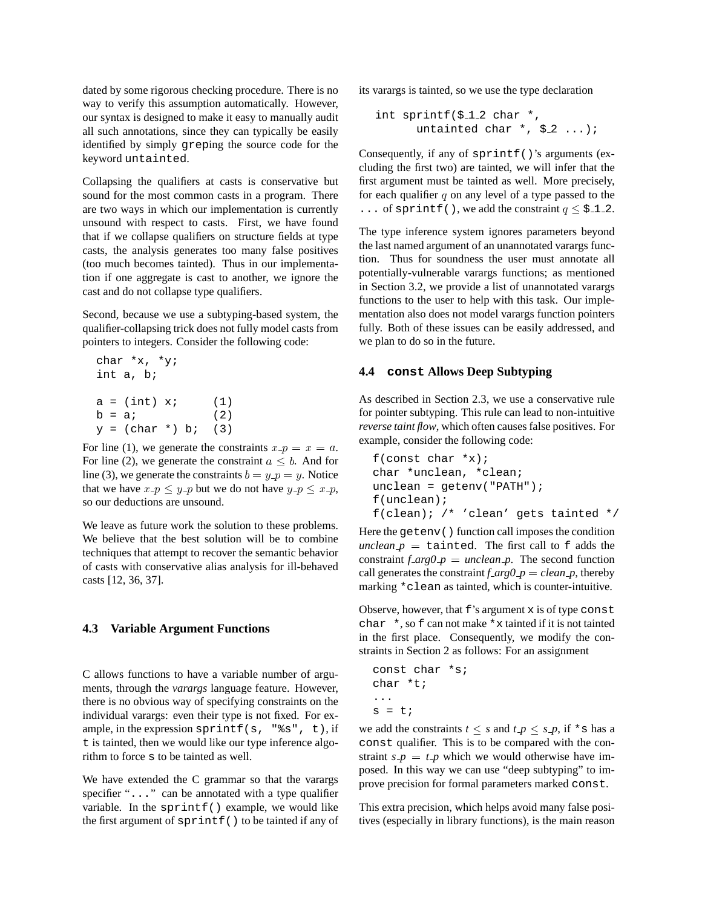dated by some rigorous checking procedure. There is no way to verify this assumption automatically. However, our syntax is designed to make it easy to manually audit all such annotations, since they can typically be easily identified by simply greping the source code for the keyword untainted.

Collapsing the qualifiers at casts is conservative but sound for the most common casts in a program. There are two ways in which our implementation is currently unsound with respect to casts. First, we have found that if we collapse qualifiers on structure fields at type casts, the analysis generates too many false positives (too much becomes tainted). Thus in our implementation if one aggregate is cast to another, we ignore the cast and do not collapse type qualifiers.

Second, because we use a subtyping-based system, the qualifier-collapsing trick does not fully model casts from pointers to integers. Consider the following code:

```
char *x, *y;
int a, b;
a = (int) x; (1)
b = a; (2)
y = (char * ) bi (3)
```
For line (1), we generate the constraints  $x - p = x = a$ . For line (2), we generate the constraint  $a \leq b$ . And for line (3), we generate the constraints  $b = y \cdot p = y$ . Notice that we have  $x \cdot p \leq y \cdot p$  but we do not have  $y \cdot p \leq x \cdot p$ , so our deductions are unsound.

We leave as future work the solution to these problems. We believe that the best solution will be to combine techniques that attempt to recover the semantic behavior of casts with conservative alias analysis for ill-behaved casts [12, 36, 37].

#### **4.3 Variable Argument Functions**

C allows functions to have a variable number of arguments, through the *varargs* language feature. However, there is no obvious way of specifying constraints on the individual varargs: even their type is not fixed. For example, in the expression sprintf(s,  $"$ 8s", t), if t is tainted, then we would like our type inference algorithm to force s to be tainted as well.

We have extended the C grammar so that the varargs specifier "..." can be annotated with a type qualifier variable. In the sprintf() example, we would like the first argument of  $sprint(f)$  to be tainted if any of its varargs is tainted, so we use the type declaration

```
int sprintf($12 char *,
      untainted char \star, $ 2 ...);
```
Consequently, if any of  $sprint(f)$ 's arguments (excluding the first two) are tainted, we will infer that the first argument must be tainted as well. More precisely, for each qualifier  $q$  on any level of a type passed to the ... of sprint  $f($ ), we add the constraint  $q \leq \frac{1}{2}$ .

The type inference system ignores parameters beyond the last named argument of an unannotated varargs function. Thus for soundness the user must annotate all potentially-vulnerable varargs functions; as mentioned in Section 3.2, we provide a list of unannotated varargs functions to the user to help with this task. Our implementation also does not model varargs function pointers fully. Both of these issues can be easily addressed, and we plan to do so in the future.

#### **4.4 const Allows Deep Subtyping**

As described in Section 2.3, we use a conservative rule for pointer subtyping. This rule can lead to non-intuitive *reverse taint flow*, which often causesfalse positives. For example, consider the following code:

```
f(const char *x);char *unclean, *clean;
unclean = getenv("PATH");
f(unclean);
f(clean); /* 'clean' gets tainted */
```
Here the getenv() function call imposes the condition  $\mathit{unclean} \ \mathit{p} \ = \ \mathtt{tainted}.$  The first call to f adds the constraint  $f \, arg \theta \, p = \text{unclean } p$ . The second function call generates the constraint  $f_{arg}0_p = clean_p$ , thereby marking \*clean as tainted, which is counter-intuitive.

Observe, however, that  $f$ 's argument  $x$  is of type const char \*, so f can not make \*x tainted if it is not tainted in the first place. Consequently, we modify the constraints in Section 2 as follows: For an assignment

```
const char *s;
char *t;
...
s = t;
```
we add the constraints  $t \leq s$  and  $t \neq p \leq s \cdot p$ , if  $*$  s has a const qualifier. This is to be compared with the constraint  $s_p = t_p$  which we would otherwise have imposed. In this way we can use "deep subtyping" to improve precision for formal parameters marked const.

This extra precision, which helps avoid many false positives (especially in library functions), is the main reason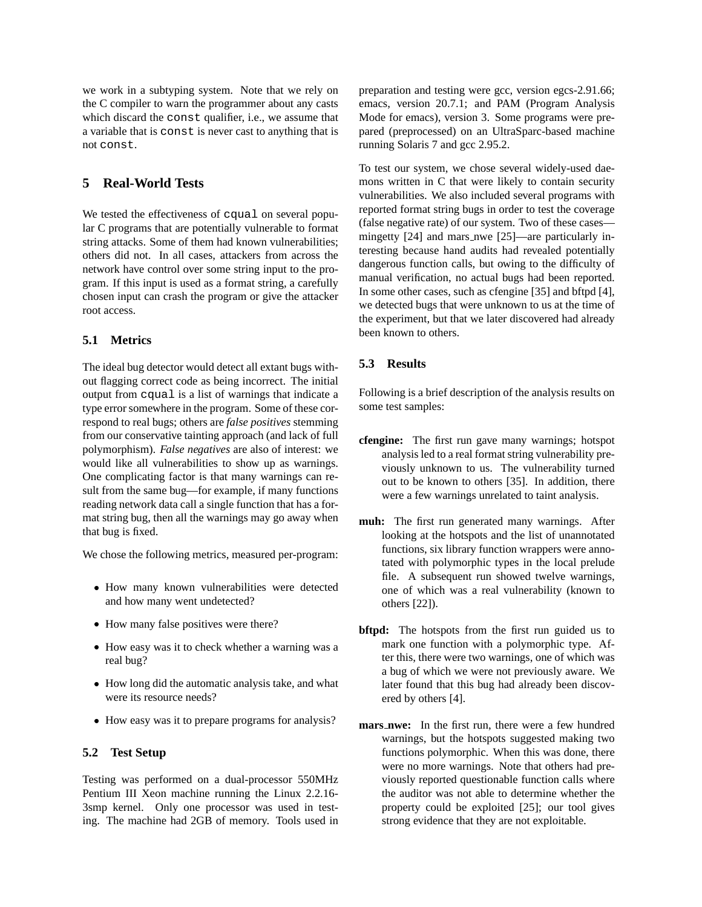we work in a subtyping system. Note that we rely on the C compiler to warn the programmer about any casts which discard the const qualifier, i.e., we assume that a variable that is const is never cast to anything that is not const.

# **5 Real-World Tests**

We tested the effectiveness of cqual on several popular C programs that are potentially vulnerable to format string attacks. Some of them had known vulnerabilities; others did not. In all cases, attackers from across the network have control over some string input to the program. If this input is used as a format string, a carefully chosen input can crash the program or give the attacker root access.

### **5.1 Metrics**

The ideal bug detector would detect all extant bugs without flagging correct code as being incorrect. The initial output from cqual is a list of warnings that indicate a type error somewhere in the program. Some of these correspond to real bugs; others are *false positives* stemming from our conservative tainting approach (and lack of full polymorphism). *False negatives* are also of interest: we would like all vulnerabilities to show up as warnings. One complicating factor is that many warnings can result from the same bug—for example, if many functions reading network data call a single function that has a format string bug, then all the warnings may go away when that bug is fixed.

We chose the following metrics, measured per-program:

- <sup>s</sup> How many known vulnerabilities were detected and how many went undetected?
- How many false positives were there?
- <sup>s</sup> How easy was it to check whether a warning was a real bug?
- How long did the automatic analysis take, and what were its resource needs?
- How easy was it to prepare programs for analysis?

#### **5.2 Test Setup**

Testing was performed on a dual-processor 550MHz Pentium III Xeon machine running the Linux 2.2.16- 3smp kernel. Only one processor was used in testing. The machine had 2GB of memory. Tools used in preparation and testing were gcc, version egcs-2.91.66; emacs, version 20.7.1; and PAM (Program Analysis Mode for emacs), version 3. Some programs were prepared (preprocessed) on an UltraSparc-based machine running Solaris 7 and gcc 2.95.2.

To test our system, we chose several widely-used daemons written in C that were likely to contain security vulnerabilities. We also included several programs with reported format string bugs in order to test the coverage (false negative rate) of our system. Two of these cases mingetty [24] and mars nwe [25]—are particularly interesting because hand audits had revealed potentially dangerous function calls, but owing to the difficulty of manual verification, no actual bugs had been reported. In some other cases, such as cfengine [35] and bftpd [4], we detected bugs that were unknown to us at the time of the experiment, but that we later discovered had already been known to others.

#### **5.3 Results**

Following is a brief description of the analysis results on some test samples:

- **cfengine:** The first run gave many warnings; hotspot analysis led to a real format string vulnerability previously unknown to us. The vulnerability turned out to be known to others [35]. In addition, there were a few warnings unrelated to taint analysis.
- **muh:** The first run generated many warnings. After looking at the hotspots and the list of unannotated functions, six library function wrappers were annotated with polymorphic types in the local prelude file. A subsequent run showed twelve warnings, one of which was a real vulnerability (known to others [22]).
- **bftpd:** The hotspots from the first run guided us to mark one function with a polymorphic type. After this, there were two warnings, one of which was a bug of which we were not previously aware. We later found that this bug had already been discovered by others [4].
- **mars nwe:** In the first run, there were a few hundred warnings, but the hotspots suggested making two functions polymorphic. When this was done, there were no more warnings. Note that others had previously reported questionable function calls where the auditor was not able to determine whether the property could be exploited [25]; our tool gives strong evidence that they are not exploitable.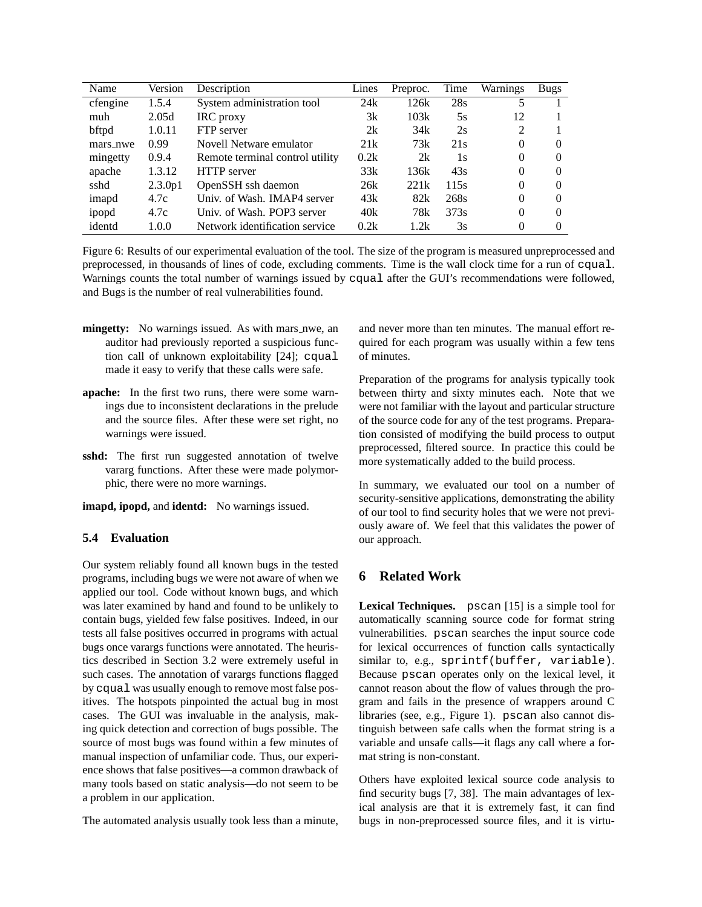| Name     | Version | Description                     | Lines | Preproc. | Time            | Warnings | <b>Bugs</b> |
|----------|---------|---------------------------------|-------|----------|-----------------|----------|-------------|
| cfengine | 1.5.4   | System administration tool      | 24k   | 126k     | 28s             | 5        |             |
| muh      | 2.05d   | IRC proxy                       | 3k    | 103k     | 5s              | 12       |             |
| bftpd    | 1.0.11  | FTP server                      | 2k    | 34k      | 2s              | 2        |             |
| mars_nwe | 0.99    | Novell Netware emulator         | 21k   | 73k      | 21 <sub>s</sub> | 0        | $\Omega$    |
| mingetty | 0.9.4   | Remote terminal control utility | 0.2k  | 2k       | 1s              | 0        |             |
| apache   | 1.3.12  | <b>HTTP</b> server              | 33k   | 136k     | 43s             | 0        |             |
| sshd     | 2.3.0p1 | OpenSSH ssh daemon              | 26k   | 221k     | 115s            | $\Omega$ | $\Omega$    |
| imapd    | 4.7c    | Univ. of Wash. IMAP4 server     | 43k   | 82k      | 268s            | $\Omega$ |             |
| ipopd    | 4.7c    | Univ. of Wash. POP3 server      | 40k   | 78k      | 373s            | $\Omega$ | $\Omega$    |
| identd   | 1.0.0   | Network identification service  | 0.2k  | 1.2k     | 3s              | $\Omega$ |             |

Figure 6: Results of our experimental evaluation of the tool. The size of the program is measured unpreprocessed and preprocessed, in thousands of lines of code, excluding comments. Time is the wall clock time for a run of cqual. Warnings counts the total number of warnings issued by cqual after the GUI's recommendations were followed, and Bugs is the number of real vulnerabilities found.

- **mingetty:** No warnings issued. As with mars nwe, an auditor had previously reported a suspicious function call of unknown exploitability [24]; cqual made it easy to verify that these calls were safe.
- **apache:** In the first two runs, there were some warnings due to inconsistent declarations in the prelude and the source files. After these were set right, no warnings were issued.
- **sshd:** The first run suggested annotation of twelve vararg functions. After these were made polymorphic, there were no more warnings.
- **imapd, ipopd,** and **identd:** No warnings issued.

### **5.4 Evaluation**

Our system reliably found all known bugs in the tested programs, including bugs we were not aware of when we applied our tool. Code without known bugs, and which was later examined by hand and found to be unlikely to contain bugs, yielded few false positives. Indeed, in our tests all false positives occurred in programs with actual bugs once varargs functions were annotated. The heuristics described in Section 3.2 were extremely useful in such cases. The annotation of varargs functions flagged by cqual was usually enough to remove most false positives. The hotspots pinpointed the actual bug in most cases. The GUI was invaluable in the analysis, making quick detection and correction of bugs possible. The source of most bugs was found within a few minutes of manual inspection of unfamiliar code. Thus, our experience shows that false positives—a common drawback of many tools based on static analysis—do not seem to be a problem in our application.

The automated analysis usually took less than a minute,

and never more than ten minutes. The manual effort required for each program was usually within a few tens of minutes.

Preparation of the programs for analysis typically took between thirty and sixty minutes each. Note that we were not familiar with the layout and particular structure of the source code for any of the test programs. Preparation consisted of modifying the build process to output preprocessed, filtered source. In practice this could be more systematically added to the build process.

In summary, we evaluated our tool on a number of security-sensitive applications, demonstrating the ability of our tool to find security holes that we were not previously aware of. We feel that this validates the power of our approach.

# **6 Related Work**

**Lexical Techniques.** pscan [15] is a simple tool for automatically scanning source code for format string vulnerabilities. pscan searches the input source code for lexical occurrences of function calls syntactically similar to, e.g., sprintf(buffer, variable). Because pscan operates only on the lexical level, it cannot reason about the flow of values through the program and fails in the presence of wrappers around C libraries (see, e.g., Figure 1). pscan also cannot distinguish between safe calls when the format string is a variable and unsafe calls—it flags any call where a format string is non-constant.

Others have exploited lexical source code analysis to find security bugs [7, 38]. The main advantages of lexical analysis are that it is extremely fast, it can find bugs in non-preprocessed source files, and it is virtu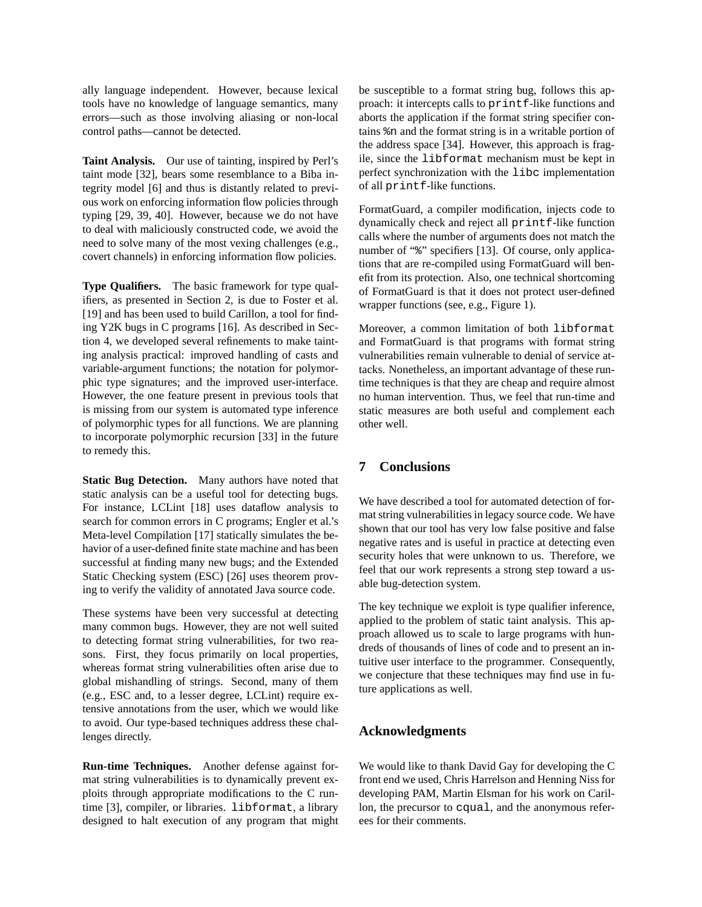ally language independent. However, because lexical tools have no knowledge of language semantics, many errors—such as those involving aliasing or non-local control paths—cannot be detected.

**Taint Analysis.** Our use of tainting, inspired by Perl's taint mode [32], bears some resemblance to a Biba integrity model [6] and thus is distantly related to previous work on enforcing information flow policies through typing [29, 39, 40]. However, because we do not have to deal with maliciously constructed code, we avoid the need to solve many of the most vexing challenges (e.g., covert channels) in enforcing information flow policies.

**Type Qualifiers.** The basic framework for type qualifiers, as presented in Section 2, is due to Foster et al. [19] and has been used to build Carillon, a tool for finding Y2K bugs in C programs [16]. As described in Section 4, we developed several refinements to make tainting analysis practical: improved handling of casts and variable-argument functions; the notation for polymorphic type signatures; and the improved user-interface. However, the one feature present in previous tools that is missing from our system is automated type inference of polymorphic types for all functions. We are planning to incorporate polymorphic recursion [33] in the future to remedy this.

**Static Bug Detection.** Many authors have noted that static analysis can be a useful tool for detecting bugs. For instance, LCLint [18] uses dataflow analysis to search for common errors in C programs; Engler et al.'s Meta-level Compilation [17] statically simulates the behavior of a user-defined finite state machine and has been successful at finding many new bugs; and the Extended Static Checking system (ESC) [26] uses theorem proving to verify the validity of annotated Java source code.

These systems have been very successful at detecting many common bugs. However, they are not well suited to detecting format string vulnerabilities, for two reasons. First, they focus primarily on local properties, whereas format string vulnerabilities often arise due to global mishandling of strings. Second, many of them (e.g., ESC and, to a lesser degree, LCLint) require extensive annotations from the user, which we would like to avoid. Our type-based techniques address these challenges directly.

**Run-time Techniques.** Another defense against format string vulnerabilities is to dynamically prevent exploits through appropriate modifications to the C runtime [3], compiler, or libraries. libformat, a library designed to halt execution of any program that might be susceptible to a format string bug, follows this approach: it intercepts calls to printf-like functions and aborts the application if the format string specifier contains %n and the format string is in a writable portion of the address space [34]. However, this approach is fragile, since the libformat mechanism must be kept in perfect synchronization with the libc implementation of all printf-like functions.

FormatGuard, a compiler modification, injects code to dynamically check and reject all printf-like function calls where the number of arguments does not match the number of "%" specifiers [13]. Of course, only applications that are re-compiled using FormatGuard will benefit from its protection. Also, one technical shortcoming of FormatGuard is that it does not protect user-defined wrapper functions (see, e.g., Figure 1).

Moreover, a common limitation of both libformat and FormatGuard is that programs with format string vulnerabilities remain vulnerable to denial of service attacks. Nonetheless, an important advantage of these runtime techniques is that they are cheap and require almost no human intervention. Thus, we feel that run-time and static measures are both useful and complement each other well.

## **7 Conclusions**

We have described a tool for automated detection of format string vulnerabilities in legacy source code. We have shown that our tool has very low false positive and false negative rates and is useful in practice at detecting even security holes that were unknown to us. Therefore, we feel that our work represents a strong step toward a usable bug-detection system.

The key technique we exploit is type qualifier inference, applied to the problem of static taint analysis. This approach allowed us to scale to large programs with hundreds of thousands of lines of code and to present an intuitive user interface to the programmer. Consequently, we conjecture that these techniques may find use in future applications as well.

### **Acknowledgments**

We would like to thank David Gay for developing the C front end we used, Chris Harrelson and Henning Niss for developing PAM, Martin Elsman for his work on Carillon, the precursor to cqual, and the anonymous referees for their comments.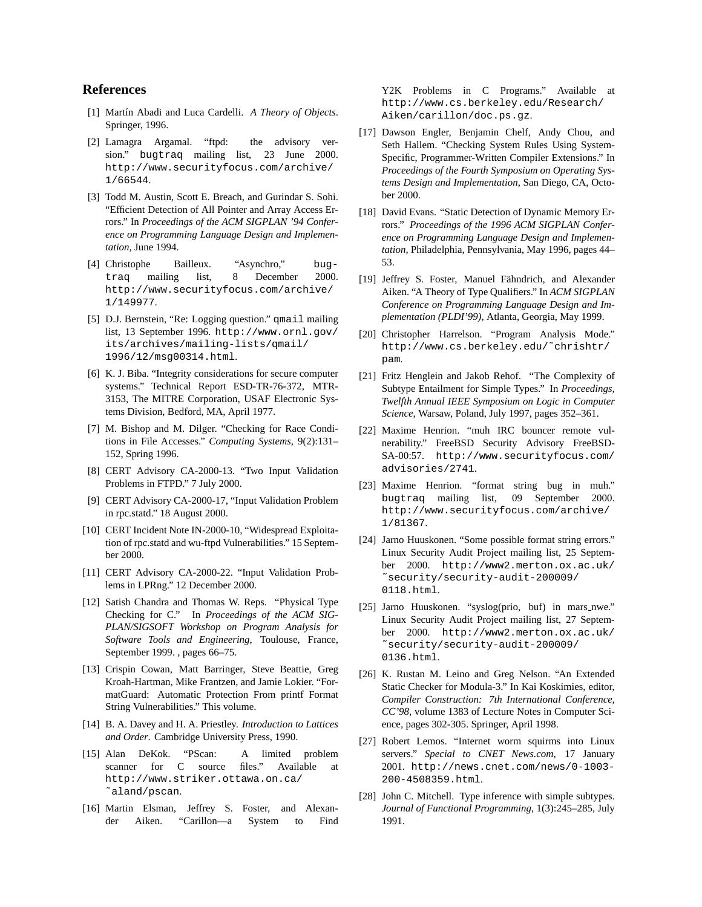### **References**

- [1] Mart´ın Abadi and Luca Cardelli. *A Theory of Objects*. Springer, 1996.
- [2] Lamagra Argamal. "ftpd: the advisory version." bugtraq mailing list, 23 June 2000. http://www.securityfocus.com/archive/ 1/66544.
- [3] Todd M. Austin, Scott E. Breach, and Gurindar S. Sohi. "Efficient Detection of All Pointer and Array Access Errors." In *Proceedings of the ACM SIGPLAN '94 Conference on Programming Language Design and Implementation*, June 1994.
- [4] Christophe Bailleux. "Asynchro," bugtraq mailing list, 8 December 2000. http://www.securityfocus.com/archive/ 1/149977.
- [5] D.J. Bernstein, "Re: Logging question." qmail mailing list, 13 September 1996. http://www.ornl.gov/ its/archives/mailing-lists/qmail/ 1996/12/msg00314.html.
- [6] K. J. Biba. "Integrity considerations for secure computer systems." Technical Report ESD-TR-76-372, MTR-3153, The MITRE Corporation, USAF Electronic Systems Division, Bedford, MA, April 1977.
- [7] M. Bishop and M. Dilger. "Checking for Race Conditions in File Accesses." *Computing Systems*, 9(2):131– 152, Spring 1996.
- [8] CERT Advisory CA-2000-13. "Two Input Validation Problems in FTPD." 7 July 2000.
- [9] CERT Advisory CA-2000-17, "Input Validation Problem in rpc.statd." 18 August 2000.
- [10] CERT Incident Note IN-2000-10, "Widespread Exploitation of rpc.statd and wu-ftpd Vulnerabilities." 15 September 2000.
- [11] CERT Advisory CA-2000-22. "Input Validation Problems in LPRng." 12 December 2000.
- [12] Satish Chandra and Thomas W. Reps. "Physical Type Checking for C." In *Proceedings of the ACM SIG-PLAN/SIGSOFT Workshop on Program Analysis for Software Tools and Engineering*, Toulouse, France, September 1999. , pages 66–75.
- [13] Crispin Cowan, Matt Barringer, Steve Beattie, Greg Kroah-Hartman, Mike Frantzen, and Jamie Lokier. "FormatGuard: Automatic Protection From printf Format String Vulnerabilities." This volume.
- [14] B. A. Davey and H. A. Priestley. *Introduction to Lattices and Order*. Cambridge University Press, 1990.
- [15] Alan DeKok. "PScan: A limited problem scanner for C source files." Available at http://www.striker.ottawa.on.ca/ ˜aland/pscan.
- [16] Martin Elsman, Jeffrey S. Foster, and Alexander Aiken. "Carillon—a System to Find

Y2K Problems in C Programs." Available at http://www.cs.berkeley.edu/Research/ Aiken/carillon/doc.ps.gz.

- [17] Dawson Engler, Benjamin Chelf, Andy Chou, and Seth Hallem. "Checking System Rules Using System-Specific, Programmer-Written Compiler Extensions." In *Proceedings of the Fourth Symposium on Operating Systems Design and Implementation*, San Diego, CA, October 2000.
- [18] David Evans. "Static Detection of Dynamic Memory Errors." *Proceedings of the 1996 ACM SIGPLAN Conference on Programming Language Design and Implementation*, Philadelphia, Pennsylvania, May 1996, pages 44– 53.
- [19] Jeffrey S. Foster, Manuel Fähndrich, and Alexander Aiken. "A Theory of Type Qualifiers." In *ACM SIGPLAN Conference on Programming Language Design and Implementation (PLDI'99)*, Atlanta, Georgia, May 1999.
- [20] Christopher Harrelson. "Program Analysis Mode." http://www.cs.berkeley.edu/˜chrishtr/ pam.
- [21] Fritz Henglein and Jakob Rehof. "The Complexity of Subtype Entailment for Simple Types." In *Proceedings, Twelfth Annual IEEE Symposium on Logic in Computer Science*, Warsaw, Poland, July 1997, pages 352–361.
- [22] Maxime Henrion. "muh IRC bouncer remote vulnerability." FreeBSD Security Advisory FreeBSD-SA-00:57. http://www.securityfocus.com/ advisories/2741.
- [23] Maxime Henrion. "format string bug in muh." bugtraq mailing list, 09 September 2000. http://www.securityfocus.com/archive/ 1/81367.
- [24] Jarno Huuskonen. "Some possible format string errors." Linux Security Audit Project mailing list, 25 September 2000. http://www2.merton.ox.ac.uk/ ˜security/security-audit-200009/ 0118.html.
- [25] Jarno Huuskonen. "syslog(prio, buf) in mars nwe." Linux Security Audit Project mailing list, 27 September 2000. http://www2.merton.ox.ac.uk/ ˜security/security-audit-200009/ 0136.html.
- [26] K. Rustan M. Leino and Greg Nelson. "An Extended Static Checker for Modula-3." In Kai Koskimies, editor, *Compiler Construction: 7th International Conference, CC'98*, volume 1383 of Lecture Notes in Computer Science, pages 302-305. Springer, April 1998.
- [27] Robert Lemos. "Internet worm squirms into Linux servers." *Special to CNET News.com*, 17 January 2001. http://news.cnet.com/news/0-1003- 200-4508359.html.
- [28] John C. Mitchell. Type inference with simple subtypes. *Journal of Functional Programming*, 1(3):245–285, July 1991.